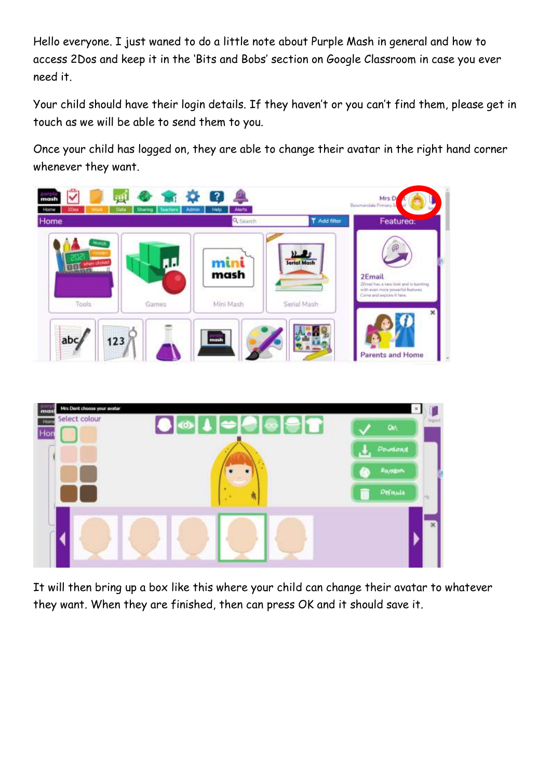Hello everyone. I just waned to do a little note about Purple Mash in general and how to access 2Dos and keep it in the 'Bits and Bobs' section on Google Classroom in case you ever need it.

Your child should have their login details. If they haven't or you can't find them, please get in touch as we will be able to send them to you.

Once your child has logged on, they are able to change their avatar in the right hand corner whenever they want.





It will then bring up a box like this where your child can change their avatar to whatever they want. When they are finished, then can press OK and it should save it.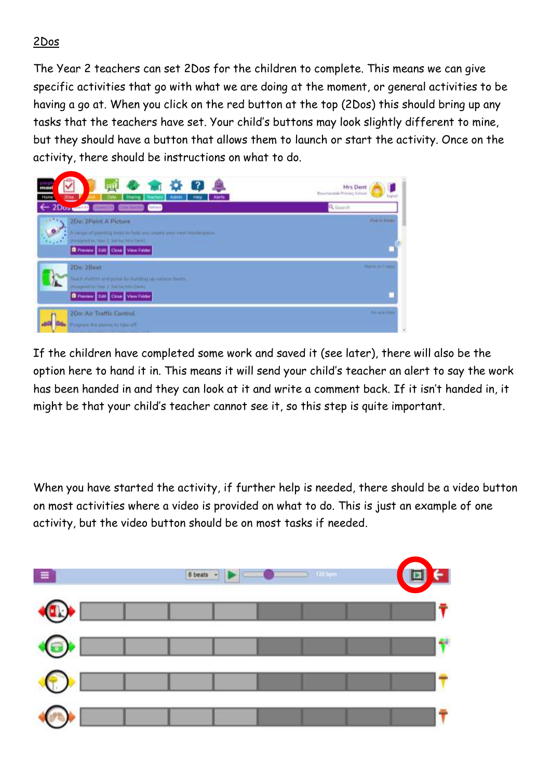## 2Dos

The Year 2 teachers can set 2Dos for the children to complete. This means we can give specific activities that go with what we are doing at the moment, or general activities to be having a go at. When you click on the red button at the top (2Dos) this should bring up any tasks that the teachers have set. Your child's buttons may look slightly different to mine, but they should have a button that allows them to launch or start the activity. Once on the activity, there should be instructions on what to do.



If the children have completed some work and saved it (see later), there will also be the option here to hand it in. This means it will send your child's teacher an alert to say the work has been handed in and they can look at it and write a comment back. If it isn't handed in, it might be that your child's teacher cannot see it, so this step is quite important.

When you have started the activity, if further help is needed, there should be a video button on most activities where a video is provided on what to do. This is just an example of one activity, but the video button should be on most tasks if needed.

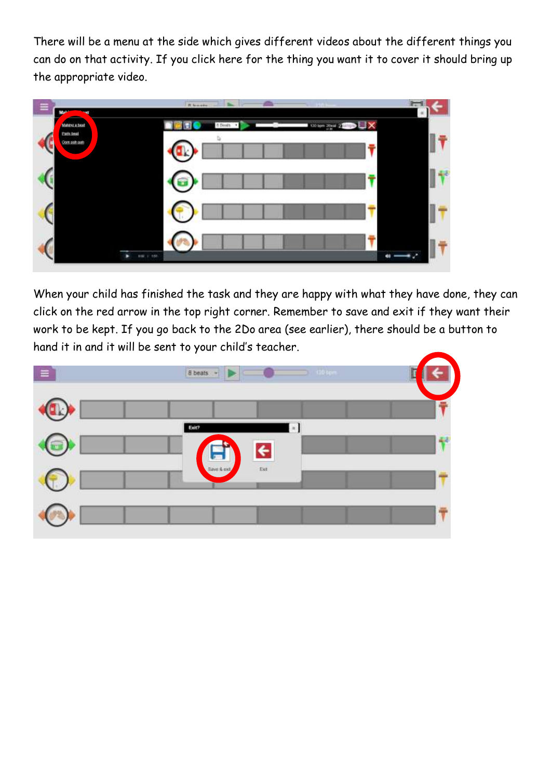There will be a menu at the side which gives different videos about the different things you can do on that activity. If you click here for the thing you want it to cover it should bring up the appropriate video.



When your child has finished the task and they are happy with what they have done, they can click on the red arrow in the top right corner. Remember to save and exit if they want their work to be kept. If you go back to the 2Do area (see earlier), there should be a button to hand it in and it will be sent to your child's teacher.